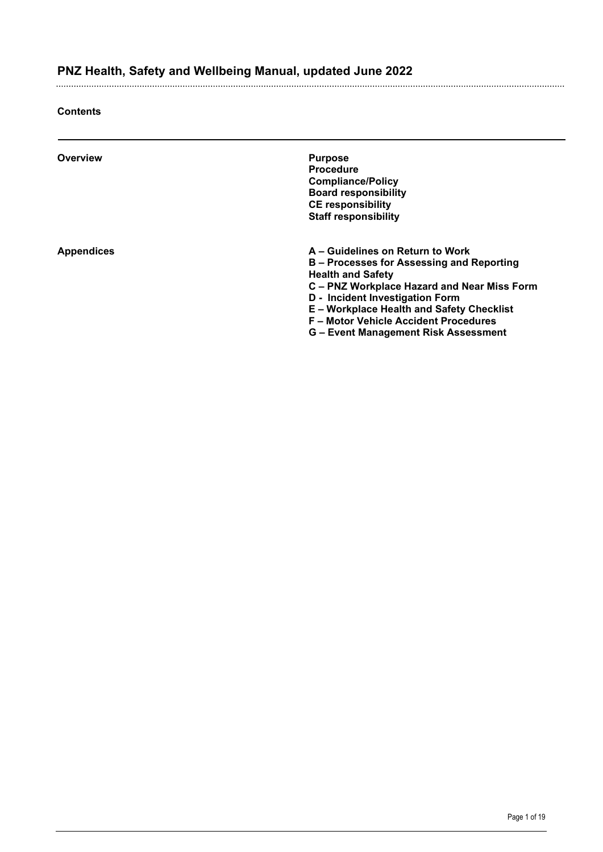#### **Contents**

| Overview          | <b>Purpose</b><br><b>Procedure</b><br><b>Compliance/Policy</b><br><b>Board responsibility</b><br><b>CE responsibility</b><br><b>Staff responsibility</b>                                                                                                                                                                       |
|-------------------|--------------------------------------------------------------------------------------------------------------------------------------------------------------------------------------------------------------------------------------------------------------------------------------------------------------------------------|
| <b>Appendices</b> | A – Guidelines on Return to Work<br>B – Processes for Assessing and Reporting<br><b>Health and Safety</b><br>C – PNZ Workplace Hazard and Near Miss Form<br>D - Incident Investigation Form<br><b>E-Workplace Health and Safety Checklist</b><br>F - Motor Vehicle Accident Procedures<br>G – Event Management Risk Assessment |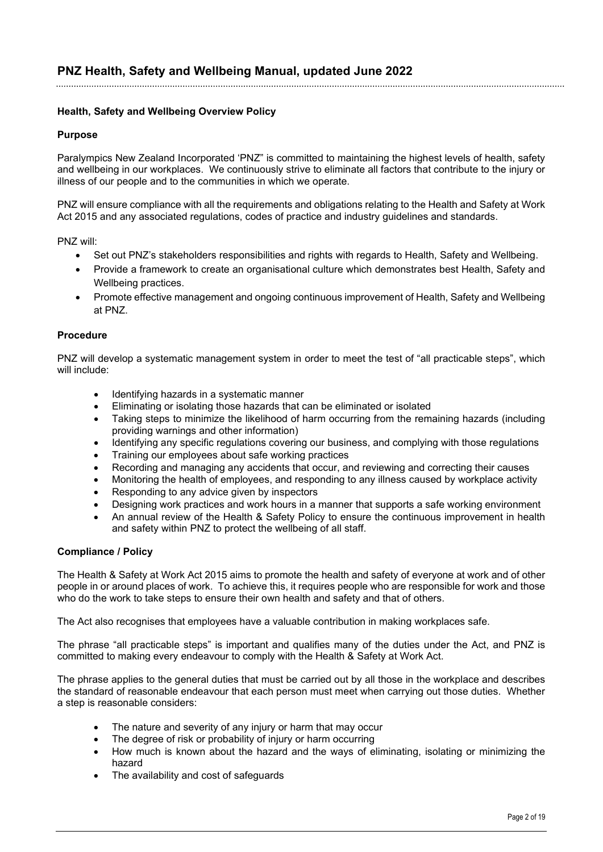#### **Health, Safety and Wellbeing Overview Policy**

#### **Purpose**

Paralympics New Zealand Incorporated 'PNZ" is committed to maintaining the highest levels of health, safety and wellbeing in our workplaces. We continuously strive to eliminate all factors that contribute to the injury or illness of our people and to the communities in which we operate.

PNZ will ensure compliance with all the requirements and obligations relating to the Health and Safety at Work Act 2015 and any associated regulations, codes of practice and industry guidelines and standards.

PNZ will:

- Set out PNZ's stakeholders responsibilities and rights with regards to Health, Safety and Wellbeing.
- Provide a framework to create an organisational culture which demonstrates best Health, Safety and Wellbeing practices.
- Promote effective management and ongoing continuous improvement of Health, Safety and Wellbeing at PNZ.

#### **Procedure**

PNZ will develop a systematic management system in order to meet the test of "all practicable steps", which will include:

- Identifying hazards in a systematic manner
- Eliminating or isolating those hazards that can be eliminated or isolated
- Taking steps to minimize the likelihood of harm occurring from the remaining hazards (including providing warnings and other information)
- Identifying any specific regulations covering our business, and complying with those regulations
- Training our employees about safe working practices
- Recording and managing any accidents that occur, and reviewing and correcting their causes
- Monitoring the health of employees, and responding to any illness caused by workplace activity
- Responding to any advice given by inspectors
- Designing work practices and work hours in a manner that supports a safe working environment
- An annual review of the Health & Safety Policy to ensure the continuous improvement in health and safety within PNZ to protect the wellbeing of all staff.

#### **Compliance / Policy**

The Health & Safety at Work Act 2015 aims to promote the health and safety of everyone at work and of other people in or around places of work. To achieve this, it requires people who are responsible for work and those who do the work to take steps to ensure their own health and safety and that of others.

The Act also recognises that employees have a valuable contribution in making workplaces safe.

The phrase "all practicable steps" is important and qualifies many of the duties under the Act, and PNZ is committed to making every endeavour to comply with the Health & Safety at Work Act.

The phrase applies to the general duties that must be carried out by all those in the workplace and describes the standard of reasonable endeavour that each person must meet when carrying out those duties. Whether a step is reasonable considers:

- The nature and severity of any injury or harm that may occur
- The degree of risk or probability of injury or harm occurring
- How much is known about the hazard and the ways of eliminating, isolating or minimizing the hazard
- The availability and cost of safeguards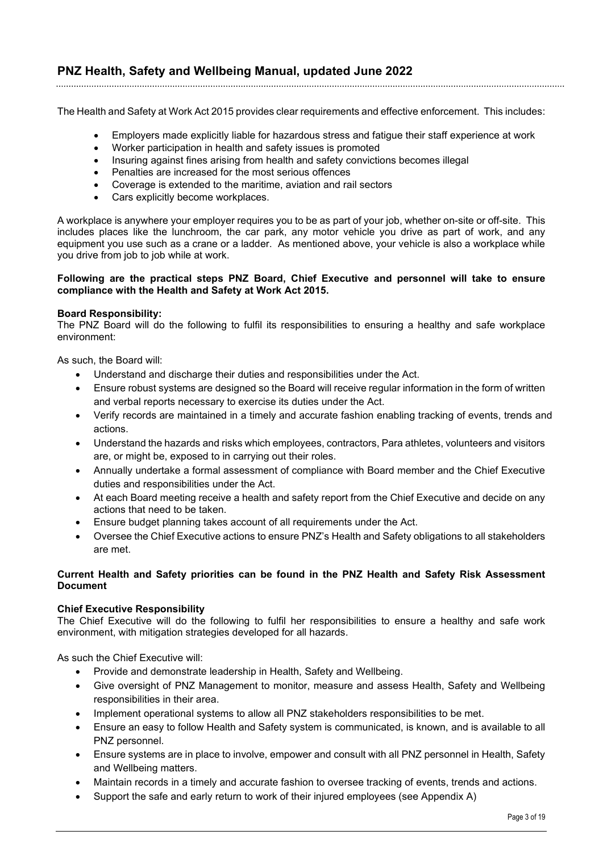The Health and Safety at Work Act 2015 provides clear requirements and effective enforcement. This includes:

- Employers made explicitly liable for hazardous stress and fatigue their staff experience at work
- Worker participation in health and safety issues is promoted
- Insuring against fines arising from health and safety convictions becomes illegal
- Penalties are increased for the most serious offences
- Coverage is extended to the maritime, aviation and rail sectors
- Cars explicitly become workplaces.

A workplace is anywhere your employer requires you to be as part of your job, whether on-site or off-site. This includes places like the lunchroom, the car park, any motor vehicle you drive as part of work, and any equipment you use such as a crane or a ladder. As mentioned above, your vehicle is also a workplace while you drive from job to job while at work.

#### **Following are the practical steps PNZ Board, Chief Executive and personnel will take to ensure compliance with the Health and Safety at Work Act 2015.**

#### **Board Responsibility:**

The PNZ Board will do the following to fulfil its responsibilities to ensuring a healthy and safe workplace environment:

As such, the Board will:

- Understand and discharge their duties and responsibilities under the Act.
- Ensure robust systems are designed so the Board will receive regular information in the form of written and verbal reports necessary to exercise its duties under the Act.
- Verify records are maintained in a timely and accurate fashion enabling tracking of events, trends and actions.
- Understand the hazards and risks which employees, contractors, Para athletes, volunteers and visitors are, or might be, exposed to in carrying out their roles.
- Annually undertake a formal assessment of compliance with Board member and the Chief Executive duties and responsibilities under the Act.
- At each Board meeting receive a health and safety report from the Chief Executive and decide on any actions that need to be taken.
- Ensure budget planning takes account of all requirements under the Act.
- Oversee the Chief Executive actions to ensure PNZ's Health and Safety obligations to all stakeholders are met.

#### **Current Health and Safety priorities can be found in the PNZ Health and Safety Risk Assessment Document**

#### **Chief Executive Responsibility**

The Chief Executive will do the following to fulfil her responsibilities to ensure a healthy and safe work environment, with mitigation strategies developed for all hazards.

As such the Chief Executive will:

- Provide and demonstrate leadership in Health, Safety and Wellbeing.
- Give oversight of PNZ Management to monitor, measure and assess Health, Safety and Wellbeing responsibilities in their area.
- Implement operational systems to allow all PNZ stakeholders responsibilities to be met.
- Ensure an easy to follow Health and Safety system is communicated, is known, and is available to all PNZ personnel.
- Ensure systems are in place to involve, empower and consult with all PNZ personnel in Health, Safety and Wellbeing matters.
- Maintain records in a timely and accurate fashion to oversee tracking of events, trends and actions.
- Support the safe and early return to work of their injured employees (see Appendix A)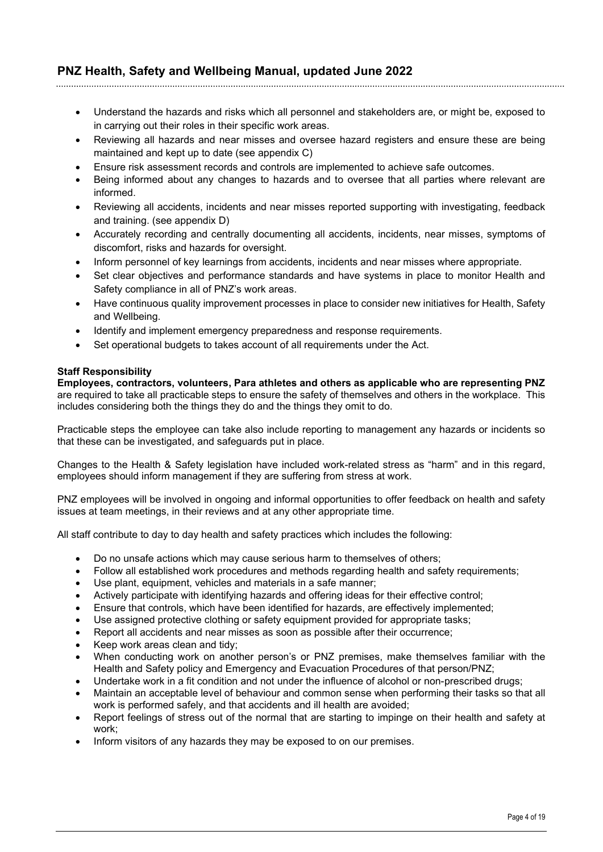- Understand the hazards and risks which all personnel and stakeholders are, or might be, exposed to in carrying out their roles in their specific work areas.
- Reviewing all hazards and near misses and oversee hazard registers and ensure these are being maintained and kept up to date (see appendix C)
- Ensure risk assessment records and controls are implemented to achieve safe outcomes.
- Being informed about any changes to hazards and to oversee that all parties where relevant are informed.
- Reviewing all accidents, incidents and near misses reported supporting with investigating, feedback and training. (see appendix D)
- Accurately recording and centrally documenting all accidents, incidents, near misses, symptoms of discomfort, risks and hazards for oversight.
- Inform personnel of key learnings from accidents, incidents and near misses where appropriate.
- Set clear objectives and performance standards and have systems in place to monitor Health and Safety compliance in all of PNZ's work areas.
- Have continuous quality improvement processes in place to consider new initiatives for Health, Safety and Wellbeing.
- Identify and implement emergency preparedness and response requirements.
- Set operational budgets to takes account of all requirements under the Act.

#### **Staff Responsibility**

**Employees, contractors, volunteers, Para athletes and others as applicable who are representing PNZ** are required to take all practicable steps to ensure the safety of themselves and others in the workplace. This includes considering both the things they do and the things they omit to do.

Practicable steps the employee can take also include reporting to management any hazards or incidents so that these can be investigated, and safeguards put in place.

Changes to the Health & Safety legislation have included work-related stress as "harm" and in this regard, employees should inform management if they are suffering from stress at work.

PNZ employees will be involved in ongoing and informal opportunities to offer feedback on health and safety issues at team meetings, in their reviews and at any other appropriate time.

All staff contribute to day to day health and safety practices which includes the following:

- Do no unsafe actions which may cause serious harm to themselves of others;
- Follow all established work procedures and methods regarding health and safety requirements;
- Use plant, equipment, vehicles and materials in a safe manner;
- Actively participate with identifying hazards and offering ideas for their effective control;
- Ensure that controls, which have been identified for hazards, are effectively implemented;
- Use assigned protective clothing or safety equipment provided for appropriate tasks;
- Report all accidents and near misses as soon as possible after their occurrence;
- Keep work areas clean and tidy;
- When conducting work on another person's or PNZ premises, make themselves familiar with the Health and Safety policy and Emergency and Evacuation Procedures of that person/PNZ;
- Undertake work in a fit condition and not under the influence of alcohol or non-prescribed drugs;
- Maintain an acceptable level of behaviour and common sense when performing their tasks so that all work is performed safely, and that accidents and ill health are avoided;
- Report feelings of stress out of the normal that are starting to impinge on their health and safety at work;
- Inform visitors of any hazards they may be exposed to on our premises.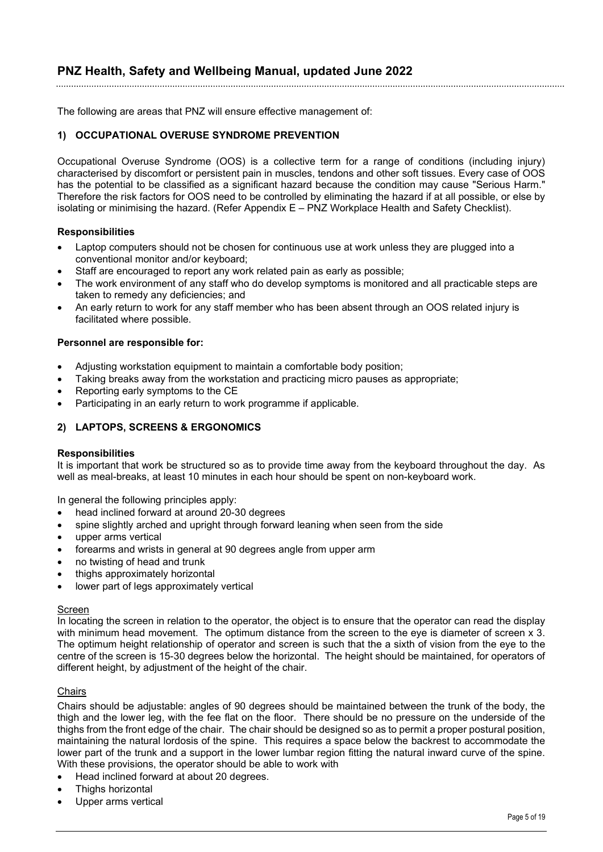The following are areas that PNZ will ensure effective management of:

#### **1) OCCUPATIONAL OVERUSE SYNDROME PREVENTION**

Occupational Overuse Syndrome (OOS) is a collective term for a range of conditions (including injury) characterised by discomfort or persistent pain in muscles, tendons and other soft tissues. Every case of OOS has the potential to be classified as a significant hazard because the condition may cause "Serious Harm." Therefore the risk factors for OOS need to be controlled by eliminating the hazard if at all possible, or else by isolating or minimising the hazard. (Refer Appendix E – PNZ Workplace Health and Safety Checklist).

#### **Responsibilities**

- Laptop computers should not be chosen for continuous use at work unless they are plugged into a conventional monitor and/or keyboard;
- Staff are encouraged to report any work related pain as early as possible;
- The work environment of any staff who do develop symptoms is monitored and all practicable steps are taken to remedy any deficiencies; and
- An early return to work for any staff member who has been absent through an OOS related injury is facilitated where possible.

#### **Personnel are responsible for:**

- Adjusting workstation equipment to maintain a comfortable body position;
- Taking breaks away from the workstation and practicing micro pauses as appropriate;
- Reporting early symptoms to the CE
- Participating in an early return to work programme if applicable.

#### **2) LAPTOPS, SCREENS & ERGONOMICS**

#### **Responsibilities**

It is important that work be structured so as to provide time away from the keyboard throughout the day. As well as meal-breaks, at least 10 minutes in each hour should be spent on non-keyboard work.

In general the following principles apply:

- head inclined forward at around 20-30 degrees
- spine slightly arched and upright through forward leaning when seen from the side
- upper arms vertical
- forearms and wrists in general at 90 degrees angle from upper arm
- no twisting of head and trunk
- thighs approximately horizontal
- lower part of legs approximately vertical

#### Screen

In locating the screen in relation to the operator, the object is to ensure that the operator can read the display with minimum head movement. The optimum distance from the screen to the eye is diameter of screen x 3. The optimum height relationship of operator and screen is such that the a sixth of vision from the eye to the centre of the screen is 15-30 degrees below the horizontal. The height should be maintained, for operators of different height, by adjustment of the height of the chair.

#### **Chairs**

Chairs should be adjustable: angles of 90 degrees should be maintained between the trunk of the body, the thigh and the lower leg, with the fee flat on the floor. There should be no pressure on the underside of the thighs from the front edge of the chair. The chair should be designed so as to permit a proper postural position, maintaining the natural lordosis of the spine. This requires a space below the backrest to accommodate the lower part of the trunk and a support in the lower lumbar region fitting the natural inward curve of the spine. With these provisions, the operator should be able to work with

- Head inclined forward at about 20 degrees.
- Thighs horizontal
- Upper arms vertical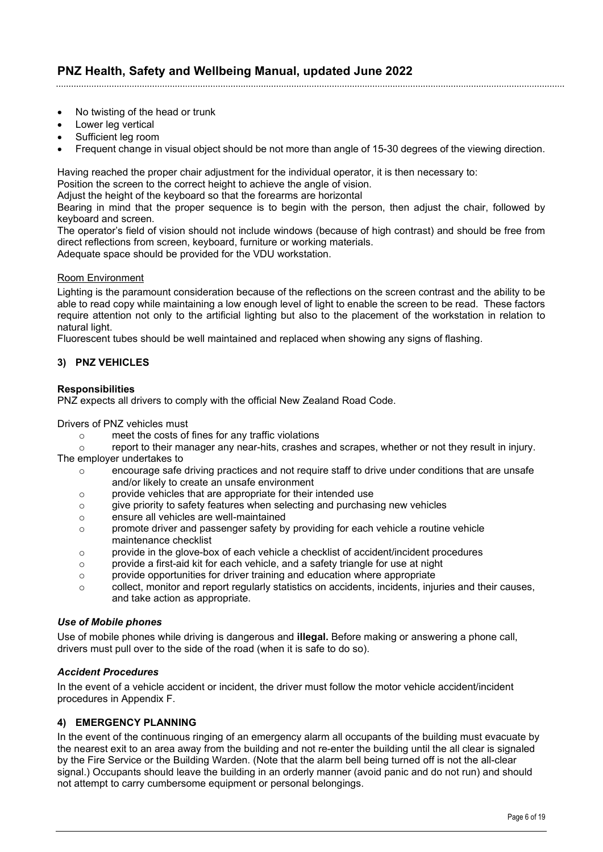- No twisting of the head or trunk
- Lower leg vertical
- Sufficient leg room
- Frequent change in visual object should be not more than angle of 15-30 degrees of the viewing direction.

Having reached the proper chair adjustment for the individual operator, it is then necessary to:

Position the screen to the correct height to achieve the angle of vision.

Adjust the height of the keyboard so that the forearms are horizontal

Bearing in mind that the proper sequence is to begin with the person, then adjust the chair, followed by keyboard and screen.

The operator's field of vision should not include windows (because of high contrast) and should be free from direct reflections from screen, keyboard, furniture or working materials.

Adequate space should be provided for the VDU workstation.

#### Room Environment

Lighting is the paramount consideration because of the reflections on the screen contrast and the ability to be able to read copy while maintaining a low enough level of light to enable the screen to be read. These factors require attention not only to the artificial lighting but also to the placement of the workstation in relation to natural light.

Fluorescent tubes should be well maintained and replaced when showing any signs of flashing.

#### **3) PNZ VEHICLES**

#### **Responsibilities**

PNZ expects all drivers to comply with the official New Zealand Road Code.

Drivers of PNZ vehicles must

o meet the costs of fines for any traffic violations<br>report to their manager any near-hits, crashes

report to their manager any near-hits, crashes and scrapes, whether or not they result in injury. The employer undertakes to

- o encourage safe driving practices and not require staff to drive under conditions that are unsafe and/or likely to create an unsafe environment
- $\circ$  provide vehicles that are appropriate for their intended use<br> $\circ$  qive priority to safety features when selecting and purchasi
- $\circ$  give priority to safety features when selecting and purchasing new vehicles<br> $\circ$  ensure all vehicles are well-maintained
- o ensure all vehicles are well-maintained
- o promote driver and passenger safety by providing for each vehicle a routine vehicle maintenance checklist
- $\circ$  provide in the glove-box of each vehicle a checklist of accident/incident procedures
- $\circ$  provide a first-aid kit for each vehicle, and a safety triangle for use at night
- o provide opportunities for driver training and education where appropriate
- $\circ$  collect, monitor and report regularly statistics on accidents, incidents, injuries and their causes, and take action as appropriate.

#### *Use of Mobile phones*

Use of mobile phones while driving is dangerous and **illegal.** Before making or answering a phone call, drivers must pull over to the side of the road (when it is safe to do so).

#### *Accident Procedures*

In the event of a vehicle accident or incident, the driver must follow the motor vehicle accident/incident procedures in Appendix F.

#### **4) EMERGENCY PLANNING**

In the event of the continuous ringing of an emergency alarm all occupants of the building must evacuate by the nearest exit to an area away from the building and not re-enter the building until the all clear is signaled by the Fire Service or the Building Warden. (Note that the alarm bell being turned off is not the all-clear signal.) Occupants should leave the building in an orderly manner (avoid panic and do not run) and should not attempt to carry cumbersome equipment or personal belongings.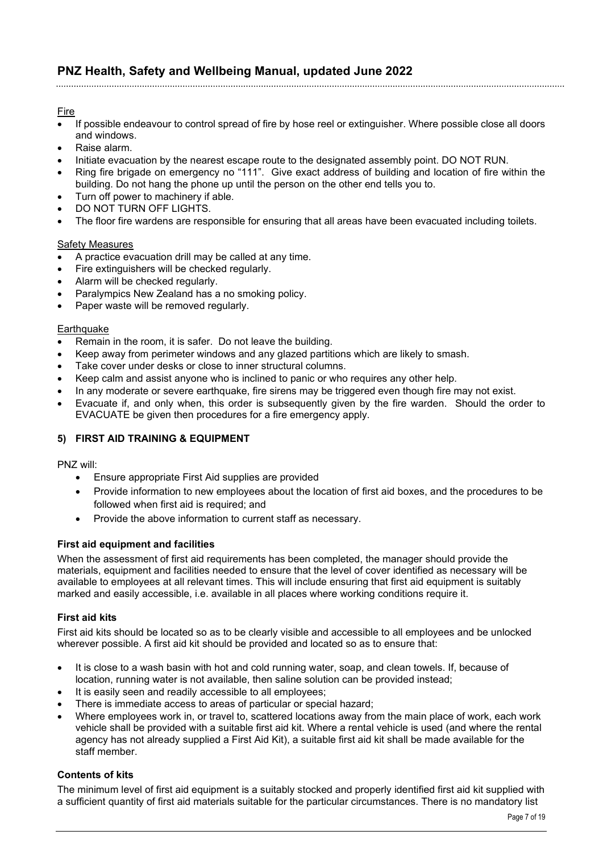#### Fire

- If possible endeavour to control spread of fire by hose reel or extinguisher. Where possible close all doors and windows.
- Raise alarm.
- Initiate evacuation by the nearest escape route to the designated assembly point. DO NOT RUN.
- Ring fire brigade on emergency no "111". Give exact address of building and location of fire within the building. Do not hang the phone up until the person on the other end tells you to.
- Turn off power to machinery if able.
- DO NOT TURN OFF LIGHTS.
- The floor fire wardens are responsible for ensuring that all areas have been evacuated including toilets.

#### Safety Measures

- A practice evacuation drill may be called at any time.
- Fire extinguishers will be checked regularly.
- Alarm will be checked regularly.
- Paralympics New Zealand has a no smoking policy.
- Paper waste will be removed regularly.

#### Earthquake

- Remain in the room, it is safer. Do not leave the building.
- Keep away from perimeter windows and any glazed partitions which are likely to smash.
- Take cover under desks or close to inner structural columns.
- Keep calm and assist anyone who is inclined to panic or who requires any other help.
- In any moderate or severe earthquake, fire sirens may be triggered even though fire may not exist.
- Evacuate if, and only when, this order is subsequently given by the fire warden. Should the order to EVACUATE be given then procedures for a fire emergency apply.

#### **5) FIRST AID TRAINING & EQUIPMENT**

PNZ will:

- Ensure appropriate First Aid supplies are provided
- Provide information to new employees about the location of first aid boxes, and the procedures to be followed when first aid is required; and
- Provide the above information to current staff as necessary.

#### **First aid equipment and facilities**

When the assessment of first aid requirements has been completed, the manager should provide the materials, equipment and facilities needed to ensure that the level of cover identified as necessary will be available to employees at all relevant times. This will include ensuring that first aid equipment is suitably marked and easily accessible, i.e. available in all places where working conditions require it.

#### **First aid kits**

First aid kits should be located so as to be clearly visible and accessible to all employees and be unlocked wherever possible. A first aid kit should be provided and located so as to ensure that:

- It is close to a wash basin with hot and cold running water, soap, and clean towels. If, because of location, running water is not available, then saline solution can be provided instead;
- It is easily seen and readily accessible to all employees;
- There is immediate access to areas of particular or special hazard;
- Where employees work in, or travel to, scattered locations away from the main place of work, each work vehicle shall be provided with a suitable first aid kit. Where a rental vehicle is used (and where the rental agency has not already supplied a First Aid Kit), a suitable first aid kit shall be made available for the staff member.

#### **Contents of kits**

The minimum level of first aid equipment is a suitably stocked and properly identified first aid kit supplied with a sufficient quantity of first aid materials suitable for the particular circumstances. There is no mandatory list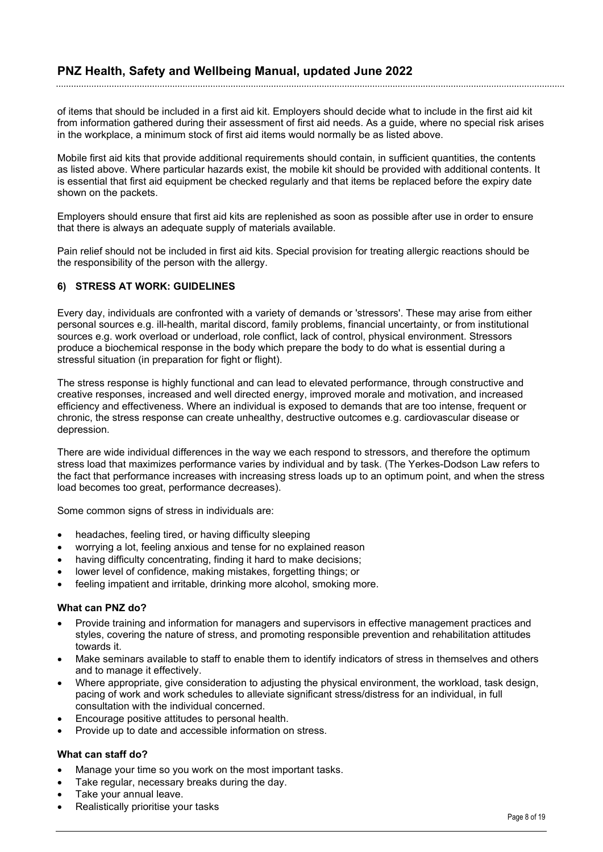of items that should be included in a first aid kit. Employers should decide what to include in the first aid kit from information gathered during their assessment of first aid needs. As a guide, where no special risk arises in the workplace, a minimum stock of first aid items would normally be as listed above.

Mobile first aid kits that provide additional requirements should contain, in sufficient quantities, the contents as listed above. Where particular hazards exist, the mobile kit should be provided with additional contents. It is essential that first aid equipment be checked regularly and that items be replaced before the expiry date shown on the packets.

Employers should ensure that first aid kits are replenished as soon as possible after use in order to ensure that there is always an adequate supply of materials available.

Pain relief should not be included in first aid kits. Special provision for treating allergic reactions should be the responsibility of the person with the allergy.

#### **6) STRESS AT WORK: GUIDELINES**

Every day, individuals are confronted with a variety of demands or 'stressors'. These may arise from either personal sources e.g. ill-health, marital discord, family problems, financial uncertainty, or from institutional sources e.g. work overload or underload, role conflict, lack of control, physical environment. Stressors produce a biochemical response in the body which prepare the body to do what is essential during a stressful situation (in preparation for fight or flight).

The stress response is highly functional and can lead to elevated performance, through constructive and creative responses, increased and well directed energy, improved morale and motivation, and increased efficiency and effectiveness. Where an individual is exposed to demands that are too intense, frequent or chronic, the stress response can create unhealthy, destructive outcomes e.g. cardiovascular disease or depression.

There are wide individual differences in the way we each respond to stressors, and therefore the optimum stress load that maximizes performance varies by individual and by task. (The Yerkes-Dodson Law refers to the fact that performance increases with increasing stress loads up to an optimum point, and when the stress load becomes too great, performance decreases).

Some common signs of stress in individuals are:

- headaches, feeling tired, or having difficulty sleeping
- worrying a lot, feeling anxious and tense for no explained reason
- having difficulty concentrating, finding it hard to make decisions;
- lower level of confidence, making mistakes, forgetting things; or
- feeling impatient and irritable, drinking more alcohol, smoking more.

#### **What can PNZ do?**

- Provide training and information for managers and supervisors in effective management practices and styles, covering the nature of stress, and promoting responsible prevention and rehabilitation attitudes towards it.
- Make seminars available to staff to enable them to identify indicators of stress in themselves and others and to manage it effectively.
- Where appropriate, give consideration to adjusting the physical environment, the workload, task design, pacing of work and work schedules to alleviate significant stress/distress for an individual, in full consultation with the individual concerned.
- Encourage positive attitudes to personal health.
- Provide up to date and accessible information on stress.

#### **What can staff do?**

- Manage your time so you work on the most important tasks.
- Take regular, necessary breaks during the day.
- Take your annual leave.
- Realistically prioritise your tasks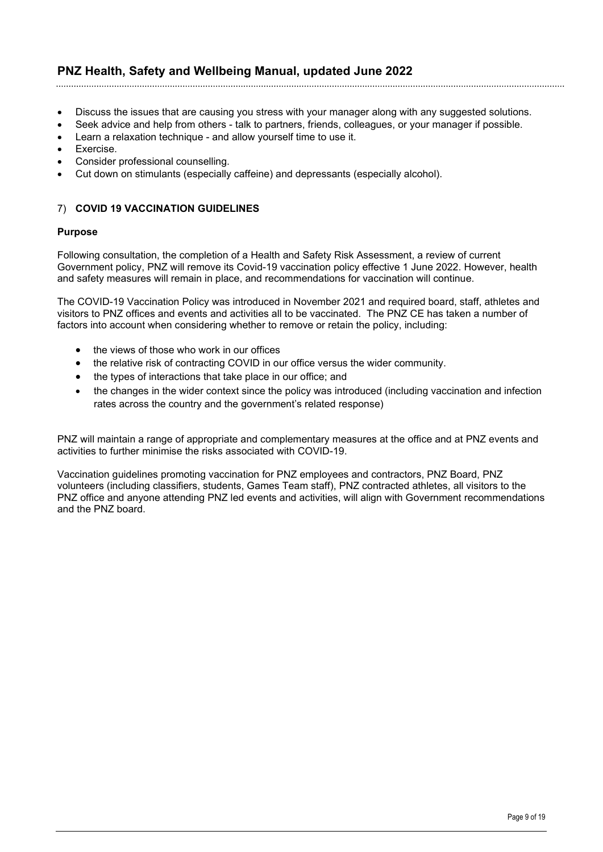- Discuss the issues that are causing you stress with your manager along with any suggested solutions.
- Seek advice and help from others talk to partners, friends, colleagues, or your manager if possible.
- Learn a relaxation technique and allow yourself time to use it.
- Exercise.
- Consider professional counselling.
- Cut down on stimulants (especially caffeine) and depressants (especially alcohol).

#### 7) **COVID 19 VACCINATION GUIDELINES**

#### **Purpose**

Following consultation, the completion of a Health and Safety Risk Assessment, a review of current Government policy, PNZ will remove its Covid-19 vaccination policy effective 1 June 2022. However, health and safety measures will remain in place, and recommendations for vaccination will continue.

The COVID-19 Vaccination Policy was introduced in November 2021 and required board, staff, athletes and visitors to PNZ offices and events and activities all to be vaccinated. The PNZ CE has taken a number of factors into account when considering whether to remove or retain the policy, including:

- the views of those who work in our offices
- the relative risk of contracting COVID in our office versus the wider community.
- the types of interactions that take place in our office; and
- the changes in the wider context since the policy was introduced (including vaccination and infection rates across the country and the government's related response)

PNZ will maintain a range of appropriate and complementary measures at the office and at PNZ events and activities to further minimise the risks associated with COVID-19.

Vaccination guidelines promoting vaccination for PNZ employees and contractors, PNZ Board, PNZ volunteers (including classifiers, students, Games Team staff), PNZ contracted athletes, all visitors to the PNZ office and anyone attending PNZ led events and activities, will align with Government recommendations and the PNZ board.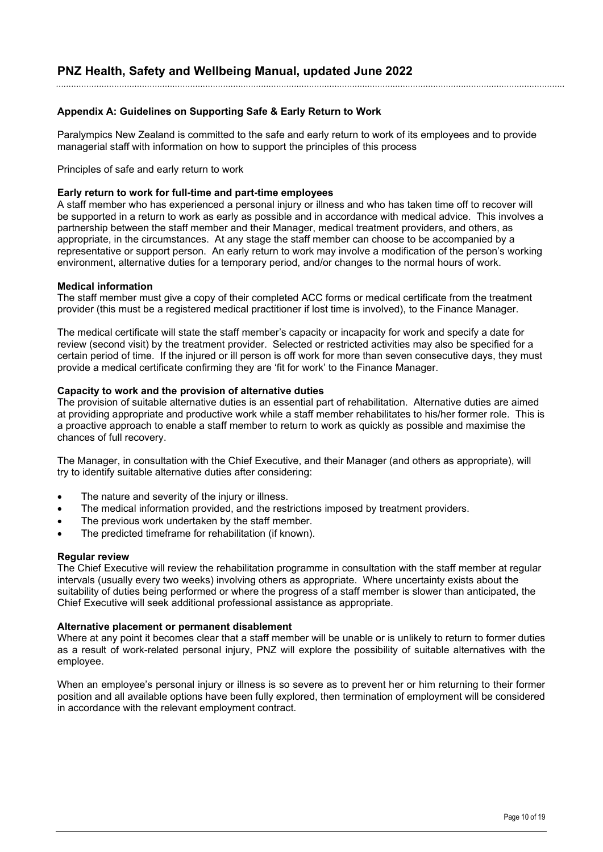#### **Appendix A: Guidelines on Supporting Safe & Early Return to Work**

Paralympics New Zealand is committed to the safe and early return to work of its employees and to provide managerial staff with information on how to support the principles of this process

Principles of safe and early return to work

#### **Early return to work for full-time and part-time employees**

A staff member who has experienced a personal injury or illness and who has taken time off to recover will be supported in a return to work as early as possible and in accordance with medical advice. This involves a partnership between the staff member and their Manager, medical treatment providers, and others, as appropriate, in the circumstances. At any stage the staff member can choose to be accompanied by a representative or support person. An early return to work may involve a modification of the person's working environment, alternative duties for a temporary period, and/or changes to the normal hours of work.

#### **Medical information**

The staff member must give a copy of their completed ACC forms or medical certificate from the treatment provider (this must be a registered medical practitioner if lost time is involved), to the Finance Manager.

The medical certificate will state the staff member's capacity or incapacity for work and specify a date for review (second visit) by the treatment provider. Selected or restricted activities may also be specified for a certain period of time. If the injured or ill person is off work for more than seven consecutive days, they must provide a medical certificate confirming they are 'fit for work' to the Finance Manager.

#### **Capacity to work and the provision of alternative duties**

The provision of suitable alternative duties is an essential part of rehabilitation. Alternative duties are aimed at providing appropriate and productive work while a staff member rehabilitates to his/her former role. This is a proactive approach to enable a staff member to return to work as quickly as possible and maximise the chances of full recovery.

The Manager, in consultation with the Chief Executive, and their Manager (and others as appropriate), will try to identify suitable alternative duties after considering:

- The nature and severity of the injury or illness.
- The medical information provided, and the restrictions imposed by treatment providers.
- The previous work undertaken by the staff member.
- The predicted timeframe for rehabilitation (if known).

#### **Regular review**

The Chief Executive will review the rehabilitation programme in consultation with the staff member at regular intervals (usually every two weeks) involving others as appropriate. Where uncertainty exists about the suitability of duties being performed or where the progress of a staff member is slower than anticipated, the Chief Executive will seek additional professional assistance as appropriate.

#### **Alternative placement or permanent disablement**

Where at any point it becomes clear that a staff member will be unable or is unlikely to return to former duties as a result of work-related personal injury, PNZ will explore the possibility of suitable alternatives with the employee.

When an employee's personal injury or illness is so severe as to prevent her or him returning to their former position and all available options have been fully explored, then termination of employment will be considered in accordance with the relevant employment contract.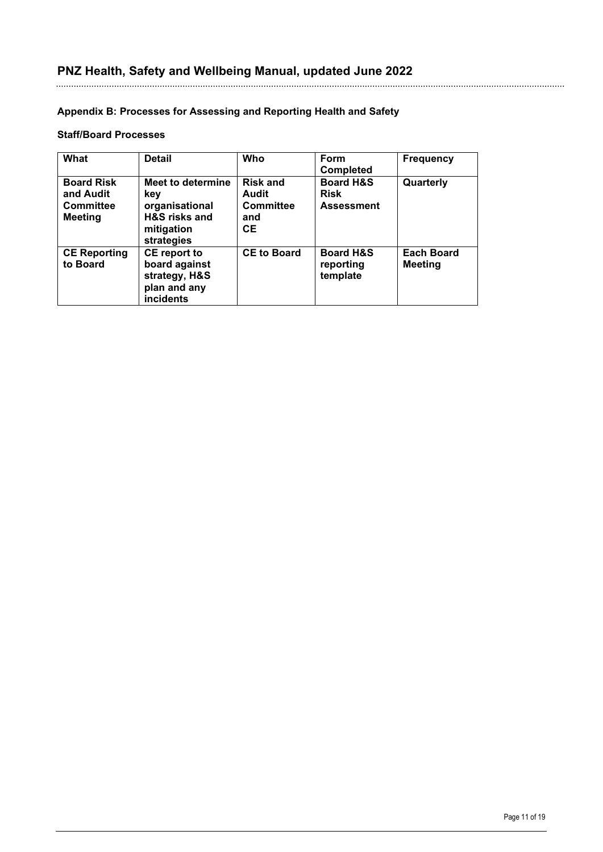#### **Appendix B: Processes for Assessing and Reporting Health and Safety**

#### **Staff/Board Processes**

| What                                                                 | <b>Detail</b>                                                                                      | <b>Who</b>                                                       | Form<br><b>Completed</b>                                 | <b>Frequency</b>                    |
|----------------------------------------------------------------------|----------------------------------------------------------------------------------------------------|------------------------------------------------------------------|----------------------------------------------------------|-------------------------------------|
| <b>Board Risk</b><br>and Audit<br><b>Committee</b><br><b>Meeting</b> | Meet to determine<br>key<br>organisational<br><b>H&amp;S</b> risks and<br>mitigation<br>strategies | <b>Risk and</b><br>Audit<br><b>Committee</b><br>and<br><b>CE</b> | <b>Board H&amp;S</b><br><b>Risk</b><br><b>Assessment</b> | Quarterly                           |
| <b>CE Reporting</b><br>to Board                                      | <b>CE</b> report to<br>board against<br>strategy, H&S<br>plan and any<br>incidents                 | <b>CE to Board</b>                                               | <b>Board H&amp;S</b><br>reporting<br>template            | <b>Each Board</b><br><b>Meeting</b> |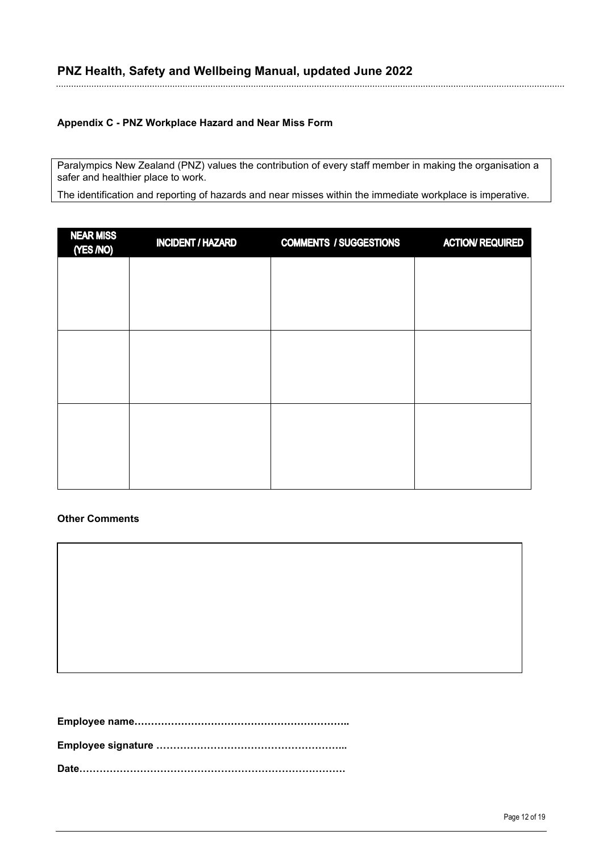#### **Appendix C - PNZ Workplace Hazard and Near Miss Form**

Paralympics New Zealand (PNZ) values the contribution of every staff member in making the organisation a safer and healthier place to work.

The identification and reporting of hazards and near misses within the immediate workplace is imperative.

| <b>NEAR MISS</b><br>(YES /NO) | <b>INCIDENT / HAZARD</b> | <b>COMMENTS / SUGGESTIONS</b> | <b>ACTION/ REQUIRED</b> |
|-------------------------------|--------------------------|-------------------------------|-------------------------|
|                               |                          |                               |                         |
|                               |                          |                               |                         |
|                               |                          |                               |                         |
|                               |                          |                               |                         |
|                               |                          |                               |                         |
|                               |                          |                               |                         |
|                               |                          |                               |                         |
|                               |                          |                               |                         |

#### **Other Comments**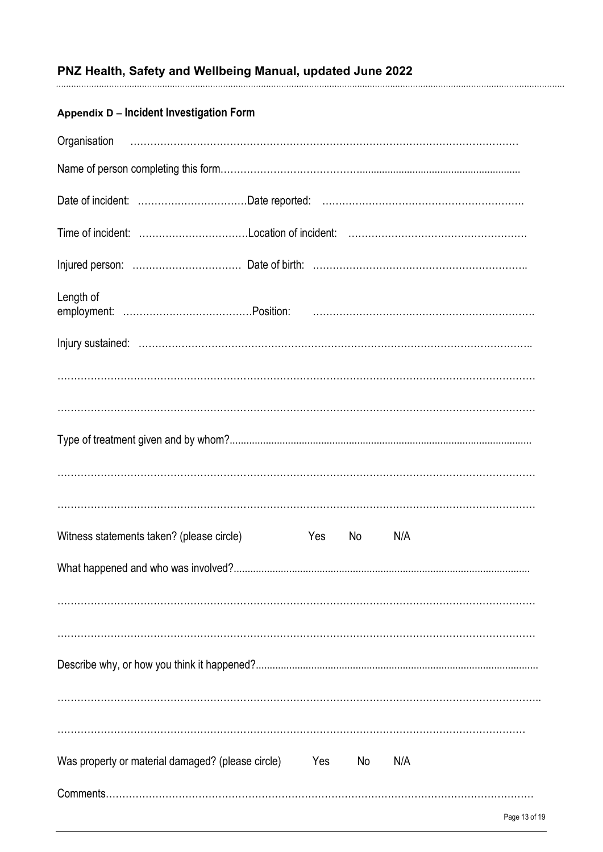# 

# Appendix D - Incident Investigation Form

| Length of                                         |     |    |     |               |
|---------------------------------------------------|-----|----|-----|---------------|
|                                                   |     |    |     |               |
|                                                   |     |    |     |               |
|                                                   |     |    |     |               |
|                                                   |     |    |     |               |
|                                                   |     |    |     |               |
|                                                   |     |    |     |               |
| Witness statements taken? (please circle)         | Yes | No | N/A |               |
|                                                   |     |    |     |               |
|                                                   |     |    |     |               |
|                                                   |     |    |     |               |
|                                                   |     |    |     |               |
|                                                   |     |    |     |               |
|                                                   |     |    |     |               |
| Was property or material damaged? (please circle) | Yes | No | N/A |               |
|                                                   |     |    |     |               |
|                                                   |     |    |     | Page 13 of 19 |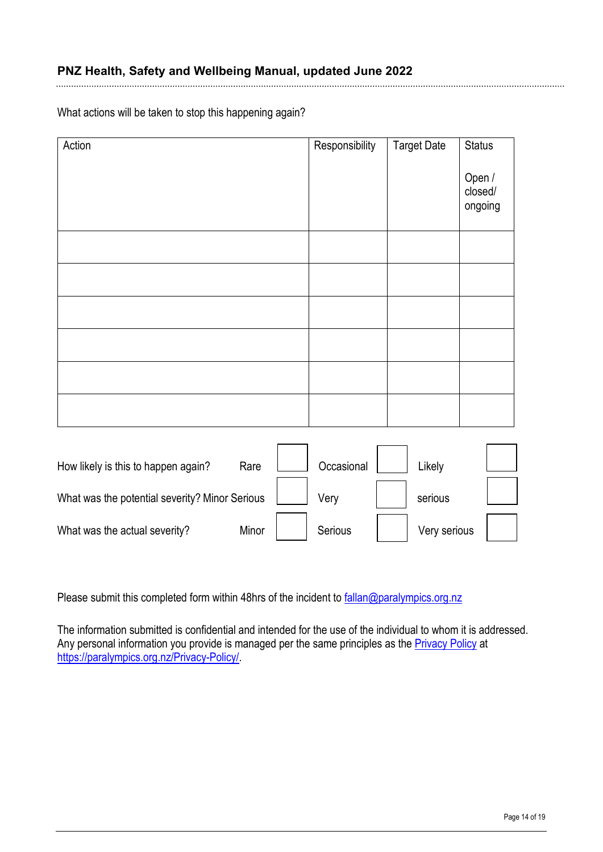What actions will be taken to stop this happening again?

| Action                                         |       | Responsibility | <b>Target Date</b> | <b>Status</b>                |  |
|------------------------------------------------|-------|----------------|--------------------|------------------------------|--|
|                                                |       |                |                    | Open /<br>closed/<br>ongoing |  |
|                                                |       |                |                    |                              |  |
|                                                |       |                |                    |                              |  |
|                                                |       |                |                    |                              |  |
|                                                |       |                |                    |                              |  |
|                                                |       |                |                    |                              |  |
|                                                |       |                |                    |                              |  |
|                                                |       |                |                    |                              |  |
| How likely is this to happen again?            | Rare  | Occasional     | Likely             |                              |  |
| What was the potential severity? Minor Serious |       | Very           | serious            |                              |  |
| What was the actual severity?                  | Minor | Serious        | Very serious       |                              |  |

Please submit this completed form within 48hrs of the incident to [fallan@paralympics.org.nz](mailto:fallan@paralympics.org.nz)

The information submitted is confidential and intended for the use of the individual to whom it is addressed. Any personal information you provide is managed per the same principles as the **Privacy Policy** at [https://paralympics.org.nz/Privacy-Policy/.](https://paralympics.org.nz/Privacy-Policy/)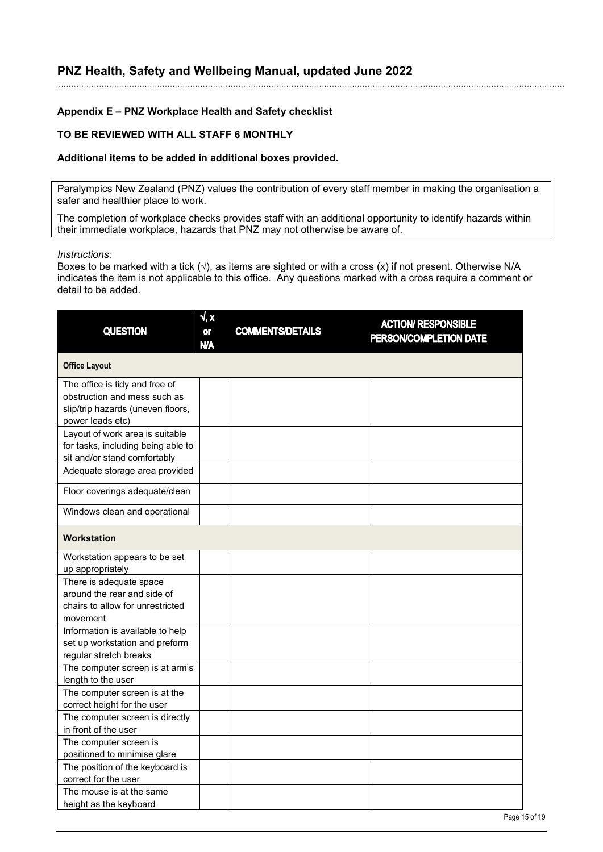#### **Appendix E – PNZ Workplace Health and Safety checklist**

#### **TO BE REVIEWED WITH ALL STAFF 6 MONTHLY**

#### **Additional items to be added in additional boxes provided.**

Paralympics New Zealand (PNZ) values the contribution of every staff member in making the organisation a safer and healthier place to work.

The completion of workplace checks provides staff with an additional opportunity to identify hazards within their immediate workplace, hazards that PNZ may not otherwise be aware of.

#### *Instructions:*

Boxes to be marked with a tick  $(\sqrt{)}$ , as items are sighted or with a cross (x) if not present. Otherwise N/A indicates the item is not applicable to this office. Any questions marked with a cross require a comment or detail to be added.

| <b>QUESTION</b>                                                                                                         | √, x<br>0ľ<br><b>N/A</b> | <b>COMMENTS/DETAILS</b> | <b>ACTION/ RESPONSIBLE</b><br>PERSON/COMPLETION DATE |
|-------------------------------------------------------------------------------------------------------------------------|--------------------------|-------------------------|------------------------------------------------------|
| <b>Office Layout</b>                                                                                                    |                          |                         |                                                      |
| The office is tidy and free of<br>obstruction and mess such as<br>slip/trip hazards (uneven floors,<br>power leads etc) |                          |                         |                                                      |
| Layout of work area is suitable<br>for tasks, including being able to<br>sit and/or stand comfortably                   |                          |                         |                                                      |
| Adequate storage area provided                                                                                          |                          |                         |                                                      |
| Floor coverings adequate/clean                                                                                          |                          |                         |                                                      |
| Windows clean and operational                                                                                           |                          |                         |                                                      |
| <b>Workstation</b>                                                                                                      |                          |                         |                                                      |
| Workstation appears to be set<br>up appropriately                                                                       |                          |                         |                                                      |
| There is adequate space<br>around the rear and side of<br>chairs to allow for unrestricted<br>movement                  |                          |                         |                                                      |
| Information is available to help<br>set up workstation and preform<br>regular stretch breaks                            |                          |                         |                                                      |
| The computer screen is at arm's<br>length to the user                                                                   |                          |                         |                                                      |
| The computer screen is at the<br>correct height for the user                                                            |                          |                         |                                                      |
| The computer screen is directly<br>in front of the user                                                                 |                          |                         |                                                      |
| The computer screen is<br>positioned to minimise glare                                                                  |                          |                         |                                                      |
| The position of the keyboard is<br>correct for the user                                                                 |                          |                         |                                                      |
| The mouse is at the same<br>height as the keyboard                                                                      |                          |                         |                                                      |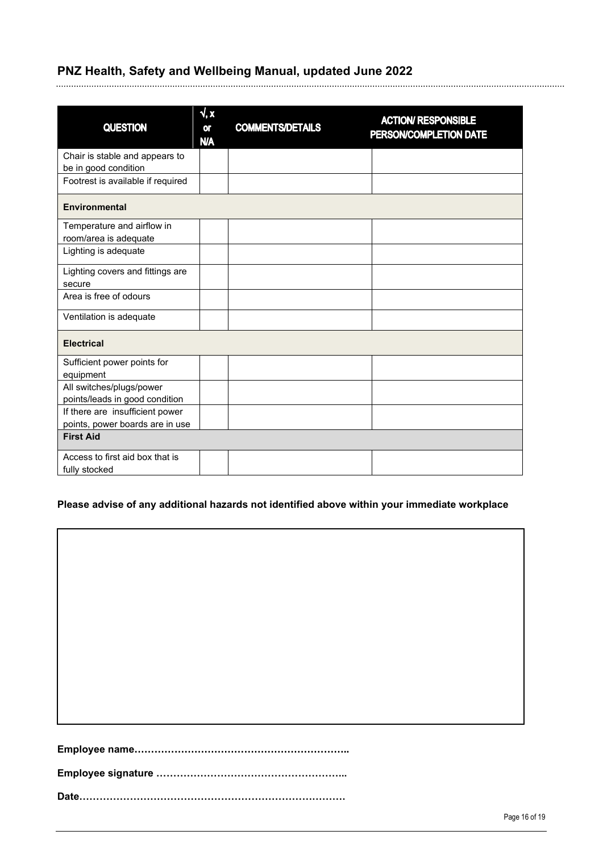|                                   | $\sqrt{a}$              |                         | <b>ACTION/ RESPONSIBLE</b> |
|-----------------------------------|-------------------------|-------------------------|----------------------------|
| <b>QUESTION</b>                   | <b>or</b><br><b>N/A</b> | <b>COMMENTS/DETAILS</b> | PERSON/COMPLETION DATE     |
| Chair is stable and appears to    |                         |                         |                            |
| be in good condition              |                         |                         |                            |
| Footrest is available if required |                         |                         |                            |
| <b>Environmental</b>              |                         |                         |                            |
| Temperature and airflow in        |                         |                         |                            |
| room/area is adequate             |                         |                         |                            |
| Lighting is adequate              |                         |                         |                            |
| Lighting covers and fittings are  |                         |                         |                            |
| secure                            |                         |                         |                            |
| Area is free of odours            |                         |                         |                            |
| Ventilation is adequate           |                         |                         |                            |
| <b>Electrical</b>                 |                         |                         |                            |
| Sufficient power points for       |                         |                         |                            |
| equipment                         |                         |                         |                            |
| All switches/plugs/power          |                         |                         |                            |
| points/leads in good condition    |                         |                         |                            |
| If there are insufficient power   |                         |                         |                            |
| points, power boards are in use   |                         |                         |                            |
| <b>First Aid</b>                  |                         |                         |                            |
| Access to first aid box that is   |                         |                         |                            |
| fully stocked                     |                         |                         |                            |

### **Please advise of any additional hazards not identified above within your immediate workplace**

**Date…………………………………………………………………….**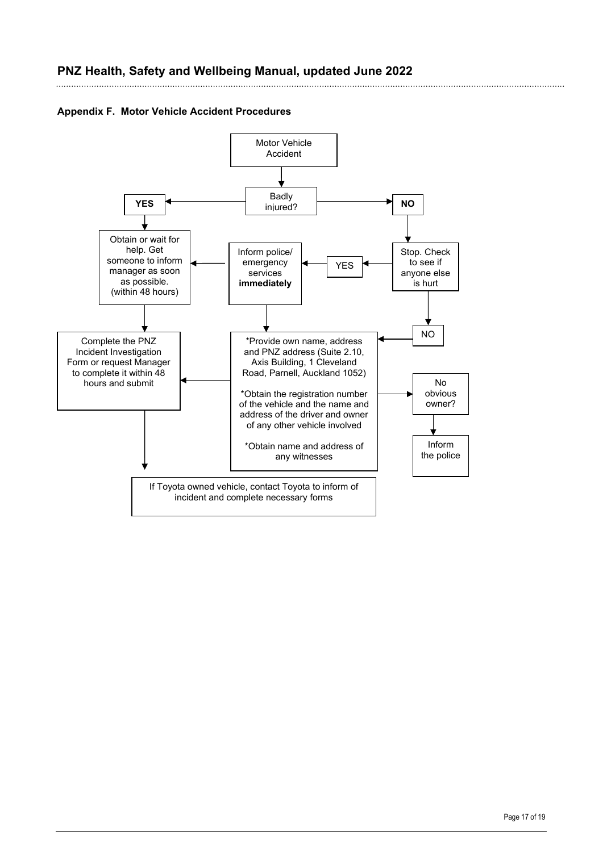

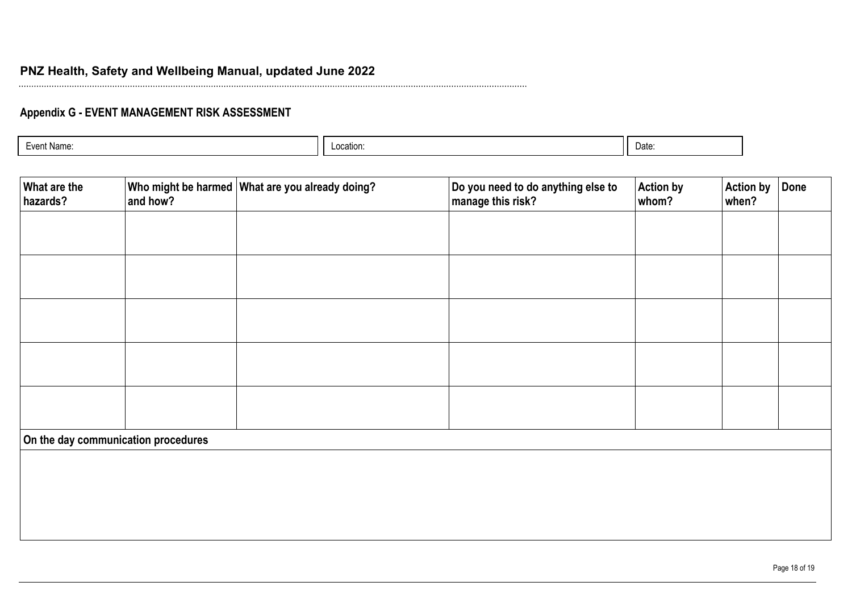# **Appendix G - EVENT MANAGEMENT RISK ASSESSMENT**

| Date:<br>Location: |
|--------------------|
|--------------------|

| What are the<br>hazards? | and how?                            | Who might be harmed What are you already doing? | Do you need to do anything else to<br>manage this risk? | <b>Action by</b><br>whom? | <b>Action by</b><br>when? | Done |
|--------------------------|-------------------------------------|-------------------------------------------------|---------------------------------------------------------|---------------------------|---------------------------|------|
|                          |                                     |                                                 |                                                         |                           |                           |      |
|                          |                                     |                                                 |                                                         |                           |                           |      |
|                          |                                     |                                                 |                                                         |                           |                           |      |
|                          |                                     |                                                 |                                                         |                           |                           |      |
|                          |                                     |                                                 |                                                         |                           |                           |      |
|                          | On the day communication procedures |                                                 |                                                         |                           |                           |      |
|                          |                                     |                                                 |                                                         |                           |                           |      |